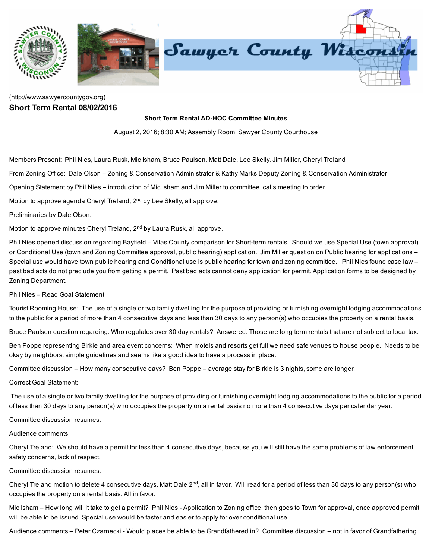

## [\(http://www.sawyercountygov.org\)](http://www.sawyercountygov.org/) Short Term Rental 08/02/2016

## Short Term Rental AD-HOC Committee Minutes

August 2, 2016; 8:30 AM; Assembly Room; Sawyer County Courthouse

Members Present: Phil Nies, Laura Rusk, Mic Isham, Bruce Paulsen, Matt Dale, Lee Skelly, Jim Miller, Cheryl Treland

From Zoning Office: Dale Olson – Zoning & Conservation Administrator & Kathy Marks Deputy Zoning & Conservation Administrator

Opening Statement by Phil Nies – introduction of Mic Isham and Jim Miller to committee, calls meeting to order.

Motion to approve agenda Cheryl Treland, 2<sup>nd</sup> by Lee Skelly, all approve.

Preliminaries by Dale Olson.

Motion to approve minutes Cheryl Treland, 2<sup>nd</sup> by Laura Rusk, all approve.

Phil Nies opened discussion regarding Bayfield – Vilas County comparison for Short-term rentals. Should we use Special Use (town approval) or Conditional Use (town and Zoning Committee approval, public hearing) application. Jim Miller question on Public hearing for applications – Special use would have town public hearing and Conditional use is public hearing for town and zoning committee. Phil Nies found case law past bad acts do not preclude you from getting a permit. Past bad acts cannot deny application for permit. Application forms to be designed by Zoning Department.

Phil Nies – Read Goal Statement

Tourist Rooming House: The use of a single or two family dwelling for the purpose of providing or furnishing overnight lodging accommodations to the public for a period of more than 4 consecutive days and less than 30 days to any person(s) who occupies the property on a rental basis.

Bruce Paulsen question regarding: Who regulates over 30 day rentals? Answered: Those are long term rentals that are not subject to local tax.

Ben Poppe representing Birkie and area event concerns: When motels and resorts get full we need safe venues to house people. Needs to be okay by neighbors, simple guidelines and seems like a good idea to have a process in place.

Committee discussion – How many consecutive days? Ben Poppe – average stay for Birkie is 3 nights, some are longer.

Correct Goal Statement:

The use of a single or two family dwelling for the purpose of providing or furnishing overnight lodging accommodations to the public for a period of less than 30 days to any person(s) who occupies the property on a rental basis no more than 4 consecutive days per calendar year.

Committee discussion resumes.

Audience comments.

Cheryl Treland: We should have a permit for less than 4 consecutive days, because you will still have the same problems of law enforcement, safety concerns, lack of respect.

Committee discussion resumes.

Cheryl Treland motion to delete 4 consecutive days, Matt Dale 2<sup>nd</sup>, all in favor. Will read for a period of less than 30 days to any person(s) who occupies the property on a rental basis. All in favor.

Mic Isham – How long will it take to get a permit? Phil Nies - Application to Zoning office, then goes to Town for approval, once approved permit will be able to be issued. Special use would be faster and easier to apply for over conditional use.

Audience comments – Peter Czarnecki - Would places be able to be Grandfathered in? Committee discussion – not in favor of Grandfathering.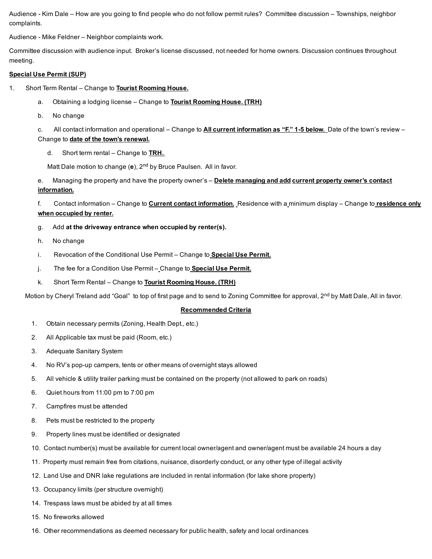Audience Kim Dale – How are you going to find people who do not follow permit rules? Committee discussion – Townships, neighbor complaints.

Audience Mike Feldner – Neighbor complaints work.

Committee discussion with audience input. Broker's license discussed, not needed for home owners. Discussion continues throughout meeting.

## Special Use Permit (SUP)

- 1. Short Term Rental Change to **Tourist Rooming House.** 
	- a. Obtaining a lodging license Change to Tourist Rooming House. (TRH)
	- b. No change

c. All contact information and operational – Change to **All current information as "F." 1-5 below**. Date of the town's review – Change to date of the town's renewal.

d. Short term rental – Change to **TRH.** 

Matt Dale motion to change (e),  $2<sup>nd</sup>$  by Bruce Paulsen. All in favor.

e. Managing the property and have the property owner's - Delete managing and add current property owner's contact information.

f. Contact information – Change to **Current contact information.** Residence with a minimum display – Change to residence only when occupied by renter.

- g. Add at the driveway entrance when occupied by renter(s).
- h. No change
- i. Revocation of the Conditional Use Permit Change to **Special Use Permit.**
- j. The fee for a Condition Use Permit Change to **Special Use Permit.**
- k. Short Term Rental Change to Tourist Rooming House. (TRH)

Motion by Cheryl Treland add "Goal" to top of first page and to send to Zoning Committee for approval, 2<sup>nd</sup> by Matt Dale, All in favor.

## Recommended Criteria

- 1. Obtain necessary permits (Zoning, Health Dept., etc.)
- 2. All Applicable tax must be paid (Room, etc.)
- 3. Adequate Sanitary System
- 4. No RV's pop-up campers, tents or other means of overnight stays allowed
- 5. All vehicle & utility trailer parking must be contained on the property (not allowed to park on roads)
- 6. Quiet hours from 11:00 pm to 7:00 pm
- 7. Campfires must be attended
- 8. Pets must be restricted to the property
- 9. Property lines must be identified or designated
- 10. Contact number(s) must be available for current local owner/agent and owner/agent must be available 24 hours a day
- 11. Property must remain free from citations, nuisance, disorderly conduct, or any other type of illegal activity
- 12. Land Use and DNR lake regulations are included in rental information (for lake shore property)
- 13. Occupancy limits (per structure overnight)
- 14. Trespass laws must be abided by at all times
- 15. No fireworks allowed
- 16. Other recommendations as deemed necessary for public health, safety and local ordinances